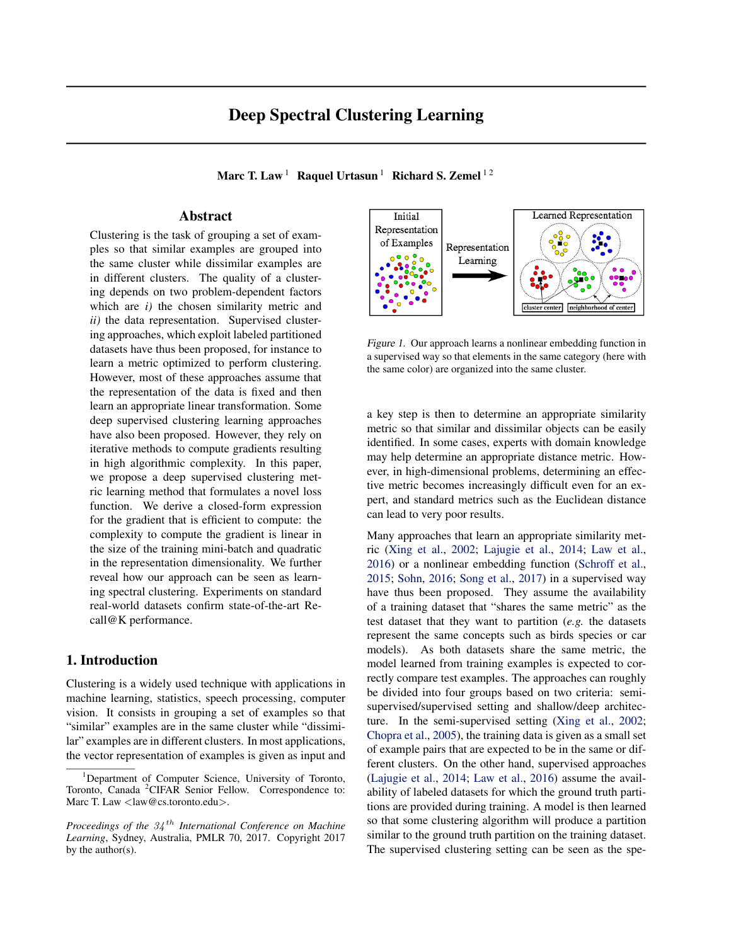# Deep Spectral Clustering Learning

Marc T. Law<sup>1</sup> Raquel Urtasun<sup>1</sup> Richard S. Zemel<sup>12</sup>

# Abstract

Clustering is the task of grouping a set of examples so that similar examples are grouped into the same cluster while dissimilar examples are in different clusters. The quality of a clustering depends on two problem-dependent factors which are *i)* the chosen similarity metric and *ii)* the data representation. Supervised clustering approaches, which exploit labeled partitioned datasets have thus been proposed, for instance to learn a metric optimized to perform clustering. However, most of these approaches assume that the representation of the data is fixed and then learn an appropriate linear transformation. Some deep supervised clustering learning approaches have also been proposed. However, they rely on iterative methods to compute gradients resulting in high algorithmic complexity. In this paper, we propose a deep supervised clustering metric learning method that formulates a novel loss function. We derive a closed-form expression for the gradient that is efficient to compute: the complexity to compute the gradient is linear in the size of the training mini-batch and quadratic in the representation dimensionality. We further reveal how our approach can be seen as learning spectral clustering. Experiments on standard real-world datasets confirm state-of-the-art Recall@K performance.

# 1. Introduction

Clustering is a widely used technique with applications in machine learning, statistics, speech processing, computer vision. It consists in grouping a set of examples so that "similar" examples are in the same cluster while "dissimilar" examples are in different clusters. In most applications, the vector representation of examples is given as input and



*Figure 1.* Our approach learns a nonlinear embedding function in a supervised way so that elements in the same category (here with the same color) are organized into the same cluster.

a key step is then to determine an appropriate similarity metric so that similar and dissimilar objects can be easily identified. In some cases, experts with domain knowledge may help determine an appropriate distance metric. However, in high-dimensional problems, determining an effective metric becomes increasingly difficult even for an expert, and standard metrics such as the Euclidean distance can lead to very poor results.

Many approaches that learn an appropriate similarity metric (Xing et al., 2002; Lajugie et al., 2014; Law et al., 2016) or a nonlinear embedding function (Schroff et al., 2015; Sohn, 2016; Song et al., 2017) in a supervised way have thus been proposed. They assume the availability of a training dataset that "shares the same metric" as the test dataset that they want to partition (*e.g.* the datasets represent the same concepts such as birds species or car models). As both datasets share the same metric, the model learned from training examples is expected to correctly compare test examples. The approaches can roughly be divided into four groups based on two criteria: semisupervised/supervised setting and shallow/deep architecture. In the semi-supervised setting (Xing et al., 2002; Chopra et al., 2005), the training data is given as a small set of example pairs that are expected to be in the same or different clusters. On the other hand, supervised approaches (Lajugie et al., 2014; Law et al., 2016) assume the availability of labeled datasets for which the ground truth partitions are provided during training. A model is then learned so that some clustering algorithm will produce a partition similar to the ground truth partition on the training dataset. The supervised clustering setting can be seen as the spe-

<sup>&</sup>lt;sup>1</sup>Department of Computer Science, University of Toronto, Toronto, Canada <sup>2</sup>CIFAR Senior Fellow. Correspondence to: Marc T. Law *<*law@cs.toronto.edu*>*.

*Proceedings of the 34 th International Conference on Machine Learning*, Sydney, Australia, PMLR 70, 2017. Copyright 2017 by the author(s).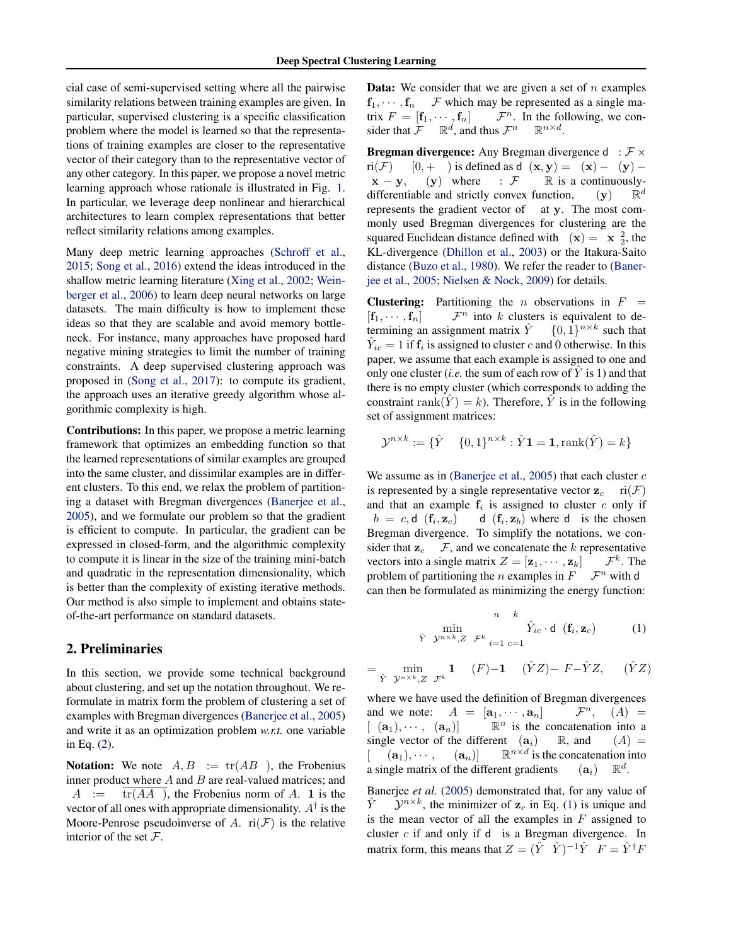cial case of semi-supervised setting where all the pairwise similarity relations between training examples are given. In particular, supervised clustering is a specific classification problem where the model is learned so that the representations of training examples are closer to the representative vector of their category than to the representative vector of any other category. In this paper, we propose a novel metric learning approach whose rationale is illustrated in Fig. 1. In particular, we leverage deep nonlinear and hierarchical architectures to learn complex representations that better reflect similarity relations among examples.

Many deep metric learning approaches (Schroff et al., 2015; Song et al., 2016) extend the ideas introduced in the shallow metric learning literature (Xing et al., 2002; Weinberger et al., 2006) to learn deep neural networks on large datasets. The main difficulty is how to implement these ideas so that they are scalable and avoid memory bottleneck. For instance, many approaches have proposed hard negative mining strategies to limit the number of training constraints. A deep supervised clustering approach was proposed in (Song et al., 2017): to compute its gradient, the approach uses an iterative greedy algorithm whose algorithmic complexity is high.

Contributions: In this paper, we propose a metric learning framework that optimizes an embedding function so that the learned representations of similar examples are grouped into the same cluster, and dissimilar examples are in different clusters. To this end, we relax the problem of partitioning a dataset with Bregman divergences (Banerjee et al., 2005), and we formulate our problem so that the gradient is efficient to compute. In particular, the gradient can be expressed in closed-form, and the algorithmic complexity to compute it is linear in the size of the training mini-batch and quadratic in the representation dimensionality, which is better than the complexity of existing iterative methods. Our method is also simple to implement and obtains stateof-the-art performance on standard datasets.

# 2. Preliminaries

In this section, we provide some technical background about clustering, and set up the notation throughout. We reformulate in matrix form the problem of clustering a set of examples with Bregman divergences (Banerjee et al., 2005) and write it as an optimization problem *w.r.t.* one variable in Eq. (2).

**Notation:** We note  $A, B \nightharpoonup$   $tr(AB)$ , the Frobenius inner product where *A* and *B* are real-valued matrices; and  $A := \text{tr}(AA)$ , the Frobenius norm of *A*. 1 is the vector of all ones with appropriate dimensionality.  $A^{\dagger}$  is the Moore-Penrose pseudoinverse of A.  $ri(\mathcal{F})$  is the relative interior of the set *F*.

Data: We consider that we are given a set of *n* examples  $f_1, \dots, f_n$  *F* which may be represented as a single matrix  $F = [\mathbf{f}_1, \dots, \mathbf{f}_n]$  *F*<sup>*n*</sup>. In the following, we con- $\mathcal{F}^n$ . In the following, we con-<br>s  $\mathcal{F}^n$   $\mathbb{R}^{n \times d}$ . sider that  $\mathcal{F}$   $\mathbb{R}^d$ , and thus  $\mathcal{F}^n$   $\mathbb{R}^{n \times d}$ .

**Bregman divergence:** Any Bregman divergence d :  $\mathcal{F} \times$  ri( $\mathcal{F}$ ) [0, + ) is defined as d (**x**, **y**) = (**x**) - (**y**) ri(*F*) [0, + ) is defined as d (x, y) = (x) – (y) –<br>x – y, (y) where : *F* R is a continuously- $ℝ$  is a continuously-<br>nction,  $(y)$   $ℝ$ <sup>d</sup> differentiable and strictly convex function, represents the gradient vector of at y. The most commonly used Bregman divergences for clustering are the squared Euclidean distance defined with  $(x) = x^2$ , the KL-divergence (Dhillon et al., 2003) or the Itakura-Saito distance (Buzo et al., 1980). We refer the reader to (Banerjee et al., 2005; Nielsen & Nock, 2009) for details.

**Clustering:** Partitioning the *n* observations in  $F =$  $[f_1, \dots, f_n]$  *F*<sup>*n*</sup> into *k* clusters is equivalent to determining an assignment matrix  $\hat{Y} = \{0, 1\}^{n \times k}$  such that termining an assignment matrix  $\hat{Y}$  $\hat{Y}_{ic} = 1$  if  $\mathbf{f}_i$  is assigned to cluster *c* and 0 otherwise. In this paper, we assume that each example is assigned to one and only one cluster (*i.e.* the sum of each row of  $\hat{Y}$  is 1) and that there is no empty cluster (which corresponds to adding the constraint rank $(\hat{Y}) = k$ ). Therefore,  $\hat{Y}$  is in the following set of assignment matrices:

$$
\mathcal{Y}^{n \times k} := \{ \hat{Y} \quad \{0, 1\}^{n \times k} : \hat{Y} \mathbf{1} = \mathbf{1}, \text{rank}(\hat{Y}) = k \}
$$

We assume as in (Banerjee et al., 2005) that each cluster *c* is represented by a single representative vector  $z_c$  ri $(\mathcal{F})$ and that an example  $f_i$  is assigned to cluster  $c$  only if  $b = c, d \text{ } (\mathbf{f}_i, \mathbf{z}_c) \text{ } d \text{ } (\mathbf{f}_i, \mathbf{z}_b)$  where d is the chosen Bregman divergence. To simplify the notations, we consider that  $\mathbf{z}_c$   $\mathcal{F}$ , and we concatenate the *k* representative vectors into a single matrix  $Z = [\mathbf{z}_1, \dots, \mathbf{z}_k]$   $\mathcal{F}^k$ . The vectors into a single matrix  $Z = [\mathbf{z}_1, \cdots, \mathbf{z}_k]$   $\mathcal{F}^k$ . The problem of partitioning the *n* examples in  $F$   $\mathcal{F}^n$  with d problem of partitioning the *n* examples in  $F$ can then be formulated as minimizing the energy function:

$$
\min_{\hat{Y} \text{ } y^{n \times k}, Z} \quad \min_{\mathcal{F}^k} \quad \hat{Y}_{ic} \cdot \mathbf{d} \quad (\mathbf{f}_i, \mathbf{z}_c) \tag{1}
$$

$$
= \min_{\hat{Y} \ y^{n \times k}, Z \ \mathcal{F}^k} \mathbf{1} \quad (F) - \mathbf{1} \quad (\hat{Y}Z) - F - \hat{Y}Z, \quad (\hat{Y}Z)
$$

where we have used the definition of Bregman divergences and we note:  $A = [\mathbf{a}_1, \cdots, \mathbf{a}_n]$   $\mathcal{F}^n$ ,<br> $[ (\mathbf{a}_1), \cdots, (\mathbf{a}_n) ]$   $\mathbb{R}^n$  is the concatenation  $(A) =$  $\mathbb{R}^n$  is the concatenation into a rent  $(\mathbf{a}_i)$   $\mathbb{R}$ , and  $(A)$  = single vector of the different  $(a_i)$  $[({\bf a}_1), \cdots, ({\bf a}_n)] \quad \mathbb{R}^{n \times d}$  is the concatenation into ngle matrix of the different gradients  $({\bf a}_i) \mathbb{R}^d$ . a single matrix of the different gradients

Banerjee *et al.* (2005) demonstrated that, for any value of  $\hat{Y}$  *y*<sup>*n*×*k*</sup>, the minimizer of **z**<sub>*c*</sub> in Eq. (1) is unique and is the mean vector of all the examples in *F* assigned to cluster *c* if and only if d is a Bregman divergence. In matrix form, this means that  $Z = (\hat{Y} \ \hat{Y})^{-1} \hat{Y} \ F = \hat{Y}^{\dagger} F$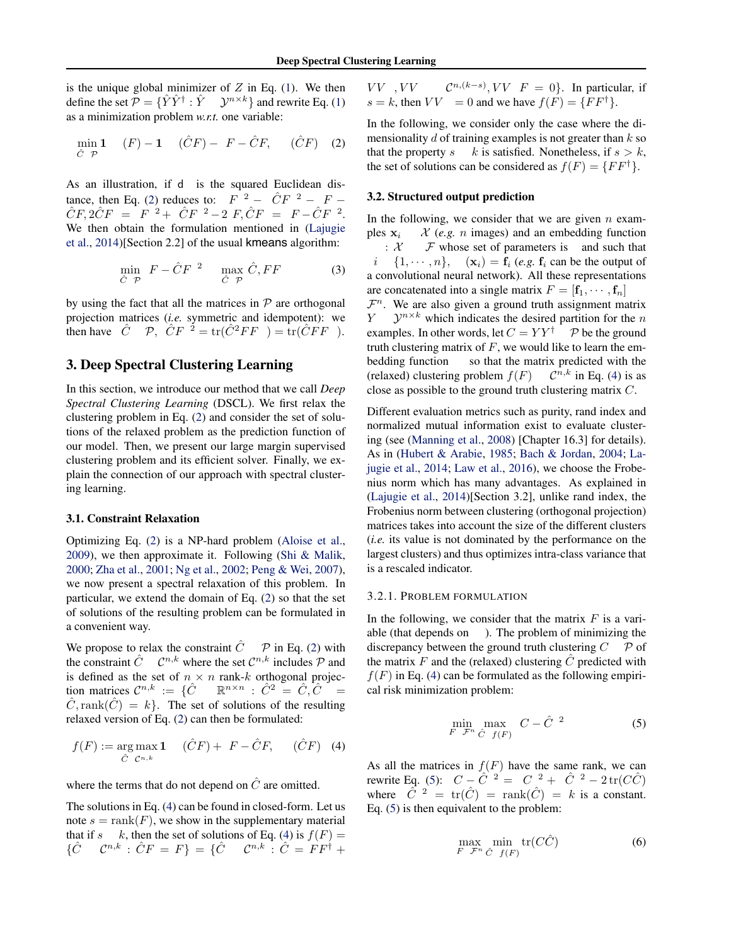is the unique global minimizer of *Z* in Eq. (1). We then define the set  $\mathcal{P} = {\hat{Y} \hat{Y}^{\dagger} : \hat{Y} \quad \mathcal{Y}^{n \times k}}$  and rewrite Eq. (1) as a minimization problem *w.r.t.* one variable:

$$
\min_{\hat{C}} \mathbf{1} \quad (F) - \mathbf{1} \quad (\hat{C}F) - F - \hat{C}F, \quad (\hat{C}F) \quad (2)
$$

As an illustration, if d is the squared Euclidean distance, then Eq. (2) reduces to:  $F^{2} - \hat{C}F^{2} - F \hat{C}F, 2\hat{C}F = F^2 + \hat{C}F^2 - 2F, \hat{C}F = F - \hat{C}F^2$ . We then obtain the formulation mentioned in (Lajugie et al., 2014)[Section 2.2] of the usual kmeans algorithm:

$$
\min_{\hat{C} \subset \mathcal{P}} F - \hat{C}F^{-2} \quad \max_{\hat{C} \subset \mathcal{P}} \hat{C}, FF \tag{3}
$$

by using the fact that all the matrices in *P* are orthogonal projection matrices (*i.e.* symmetric and idempotent): we then have  $\hat{C}$  *P*,  $\hat{C}F$ <sup>2</sup> = tr( $\hat{C}^2FF$  ) = tr( $\hat{C}FF$ ).

# 3. Deep Spectral Clustering Learning

In this section, we introduce our method that we call *Deep Spectral Clustering Learning* (DSCL). We first relax the clustering problem in Eq. (2) and consider the set of solutions of the relaxed problem as the prediction function of our model. Then, we present our large margin supervised clustering problem and its efficient solver. Finally, we explain the connection of our approach with spectral clustering learning.

### 3.1. Constraint Relaxation

Optimizing Eq. (2) is a NP-hard problem (Aloise et al., 2009), we then approximate it. Following (Shi & Malik, 2000; Zha et al., 2001; Ng et al., 2002; Peng & Wei, 2007), we now present a spectral relaxation of this problem. In particular, we extend the domain of Eq. (2) so that the set of solutions of the resulting problem can be formulated in a convenient way.

We propose to relax the constraint  $\hat{C}$  *P* in Eq. (2) with the constraint  $\hat{C}$   $\mathcal{C}^{n,k}$  where the set  $\mathcal{C}^{n,k}$  includes  $\mathcal{P}$  and is defined as the set of  $n \times n$  rank-*k* orthogonal projection matrices  $\mathcal{C}^{n,k} := \{ \hat{C} \subseteq \mathbb{R}^{n \times n} : \hat{C}^2 = \hat{C}, \hat{C} =$  $\text{tion matrices } \mathcal{C}^{n,k} := \{ \hat{C} \}$  $\hat{C}$ , rank $(\hat{C}) = k$ . The set of solutions of the resulting relaxed version of Eq. (2) can then be formulated:

$$
f(F) := \underset{\hat{C} \ C^{n,k}}{\arg \max} \mathbf{1} \quad (\hat{C}F) + F - \hat{C}F, \quad (\hat{C}F) \quad (4)
$$

where the terms that do not depend on  $\hat{C}$  are omitted.

The solutions in Eq. (4) can be found in closed-form. Let us note  $s = \text{rank}(F)$ , we show in the supplementary material that if *s*  $k$ , then the set of solutions of Eq. (4) is  $f(F) =$  $\{\hat{C} \quad \mathcal{C}^{n,k} : \hat{C}F = F\} = \{\hat{C} \quad \mathcal{C}^{n,k} : \hat{C} = FF^{\dagger} + F$ 

 $V$ *V*  $V$ *V*  $\mathcal{C}^{n,(k-s)}$ ,  $VV$   $F = 0$ }. In particular, if  $s = k$ , then  $VV = 0$  and we have  $f(F) = \{FF^{\dagger}\}.$ 

In the following, we consider only the case where the dimensionality *d* of training examples is not greater than *k* so that the property *s k* is satisfied. Nonetheless, if  $s > k$ , the set of solutions can be considered as  $f(F) = \{FF^{\dagger}\}.$ 

## 3.2. Structured output prediction

In the following, we consider that we are given *n* examples  $x_i$  *X* (*e.g. n* images) and an embedding function :  $X$  *F* whose set of parameters is and such that : *X F* whose set of parameters is and such that  $i \{1, \dots, n\}, \quad (\mathbf{x}_i) = \mathbf{f}_i \ (e.g. \mathbf{f}_i \text{ can be the output of } \mathbf{x}_i$ a convolutional neural network). All these representations

are concatenated into a single matrix  $F = [\mathbf{f}_1, \cdots, \mathbf{f}_n]$ 

 $\mathcal{F}^n$ . We are also given a ground truth assignment matrix  $Y = \mathcal{V}^{n \times k}$  which indicates the desired partition for the *n*  $Y^{n \times k}$  which indicates the desired partition for the *n* examples. In other words, let  $C = YY^{\dagger}$  *P* be the ground truth clustering matrix of *F*, we would like to learn the embedding function so that the matrix predicted with the (relaxed) clustering problem  $f(F)$   $\mathcal{C}^{n,k}$  in Eq. (4) is as close as possible to the ground truth clustering matrix *C*.

Different evaluation metrics such as purity, rand index and normalized mutual information exist to evaluate clustering (see (Manning et al., 2008) [Chapter 16.3] for details). As in (Hubert & Arabie, 1985; Bach & Jordan, 2004; Lajugie et al., 2014; Law et al., 2016), we choose the Frobenius norm which has many advantages. As explained in (Lajugie et al., 2014)[Section 3.2], unlike rand index, the Frobenius norm between clustering (orthogonal projection) matrices takes into account the size of the different clusters (*i.e.* its value is not dominated by the performance on the largest clusters) and thus optimizes intra-class variance that is a rescaled indicator.

#### 3.2.1. PROBLEM FORMULATION

In the following, we consider that the matrix  $F$  is a variable (that depends on ). The problem of minimizing the discrepancy between the ground truth clustering *C P* of the matrix  $F$  and the (relaxed) clustering  $\hat{C}$  predicted with  $f(F)$  in Eq. (4) can be formulated as the following empirical risk minimization problem:

$$
\min_{F} \max_{\tilde{\mathcal{F}}^n} C - \hat{C}^2 \tag{5}
$$

As all the matrices in  $f(F)$  have the same rank, we can rewrite Eq. (5):  $C - \hat{C}^2 = C^2 + \hat{C}^2 - 2 \text{tr}(C\hat{C})$ where  $\tilde{C}^2 = \text{tr}(\hat{C}) = \text{rank}(\hat{C}) = k$  is a constant. Eq. (5) is then equivalent to the problem:

$$
\max_{F} \min_{\mathcal{F}^n} \inf_{\hat{C}} \text{tr}(C\hat{C}) \tag{6}
$$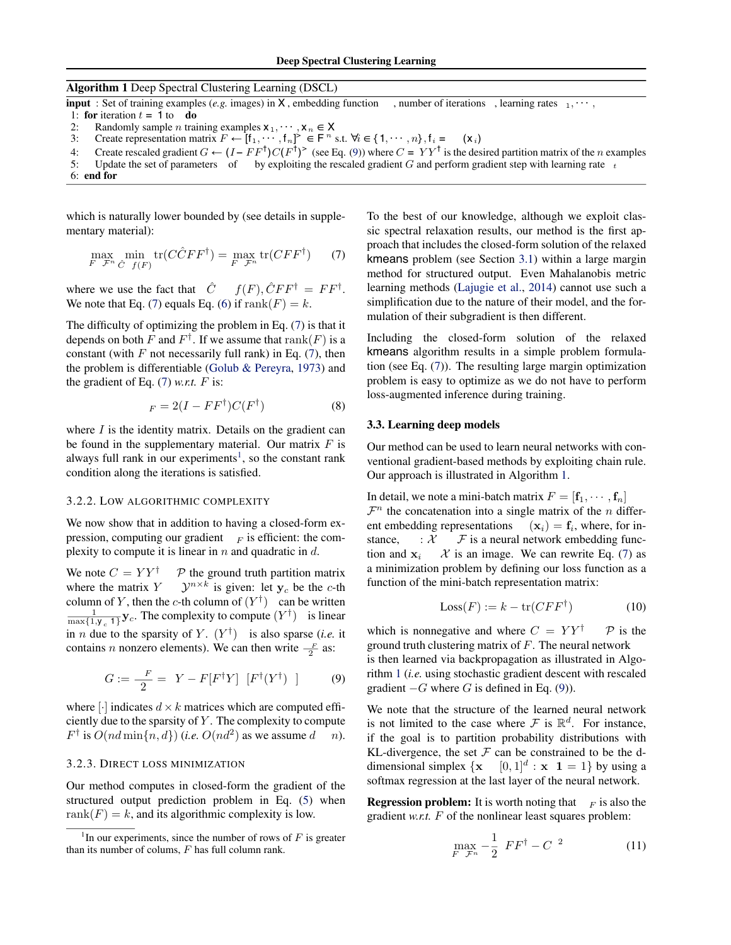### Algorithm 1 Deep Spectral Clustering Learning (DSCL)

 $\frac{1}{2}$  input : Set of training examples (*e.g.* images) in X, embedding function, number of iterations, learning rates  $_1, \dots,$ 

1: **for** iteration  $t = 1$  to **do** 

- 2: Randomly sample *n* training examples  $x_1, \dots, x_n \in X$ <br>3: Create representation matrix  $F \leftarrow [f_1, \dots, f_n]^2 \in F^n$
- 3: Create representation matrix  $F \leftarrow [f_1, \dots, f_n]$ <sup> $\geq \in F^n$ </sup> s.t.  $\forall i \in \{1, \dots, n\}, f_i = (\mathbf{x}_i)$
- 4: Create rescaled gradient *G* ← (*I* − *FF*†)*C*(*F*†) <sup>&</sup>gt; (see Eq. (9)) where *C* = *Y Y* † is the desired partition matrix of the *n* examples
- 5: Update the set of parameters of by exploiting the rescaled gradient *G* and perform gradient step with learning rate  $t$

which is naturally lower bounded by (see details in supplementary material):

$$
\max_{F} \min_{\mathcal{F}^n} \text{tr}(C\hat{C}FF^{\dagger}) = \max_{F} \text{tr}(CFF^{\dagger}) \qquad (7)
$$

where we use the fact that  $\hat{C}$   $f(F), \hat{C} F F^{\dagger} = F F^{\dagger}$ . We note that Eq. (7) equals Eq. (6) if  $\text{rank}(F) = k$ .

The difficulty of optimizing the problem in Eq. (7) is that it depends on both *F* and  $F^{\dagger}$ . If we assume that  $\text{rank}(F)$  is a constant (with  $F$  not necessarily full rank) in Eq.  $(7)$ , then the problem is differentiable (Golub & Pereyra, 1973) and the gradient of Eq. (7) *w.r.t. F* is:

$$
F = 2(I - FF^{\dagger})C(F^{\dagger})
$$
 (8)

where *I* is the identity matrix. Details on the gradient can be found in the supplementary material. Our matrix *F* is always full rank in our experiments<sup>1</sup>, so the constant rank condition along the iterations is satisfied.

#### 3.2.2. LOW ALGORITHMIC COMPLEXITY

We now show that in addition to having a closed-form expression, computing our gradient  $\bar{F}$  is efficient: the complexity to compute it is linear in *n* and quadratic in *d*.

We note  $C = YY^{\dagger}$  *P* the ground truth partition matrix<br>where the matrix  $Y = y^{n \times k}$  is given: let  $y_c$  be the *c*-th  $\mathcal{Y}^{n \times k}$  is given: let  $\mathbf{y}_c$  be the *c*-th column of *Y*, then the *c*-th column of  $(Y^{\dagger})$  can be written  $\frac{1}{\max\{1, y_c, 1\}}$ **y**<sub>c</sub>. The complexity to compute  $(Y^{\dagger})$  is linear in *n* due to the sparsity of *Y*.  $(Y^{\dagger})$  is also sparse (*i.e.* it contains *n* nonzero elements). We can then write  $\frac{F}{2}$  as:

$$
G := \frac{F}{2} = Y - F[F^{\dagger}Y] [F^{\dagger}(Y^{\dagger})]
$$
 (9)

where  $\lceil \cdot \rceil$  indicates  $d \times k$  matrices which are computed efficiently due to the sparsity of *Y* . The complexity to compute  $F^{\dagger}$  is  $O(nd \min\{n, d\})$  (*i.e.*  $O(nd^2)$  as we assume  $d$  *n*).

#### 3.2.3. DIRECT LOSS MINIMIZATION

Our method computes in closed-form the gradient of the structured output prediction problem in Eq. (5) when rank $(F) = k$ , and its algorithmic complexity is low.

To the best of our knowledge, although we exploit classic spectral relaxation results, our method is the first approach that includes the closed-form solution of the relaxed kmeans problem (see Section 3.1) within a large margin method for structured output. Even Mahalanobis metric learning methods (Lajugie et al., 2014) cannot use such a simplification due to the nature of their model, and the formulation of their subgradient is then different.

Including the closed-form solution of the relaxed kmeans algorithm results in a simple problem formulation (see Eq. (7)). The resulting large margin optimization problem is easy to optimize as we do not have to perform loss-augmented inference during training.

### 3.3. Learning deep models

Our method can be used to learn neural networks with conventional gradient-based methods by exploiting chain rule. Our approach is illustrated in Algorithm 1.

In detail, we note a mini-batch matrix  $F = [\mathbf{f}_1, \cdots, \mathbf{f}_n]$  $\mathcal{F}^n$  the concatenation into a single matrix of the *n* different embedding representations  $(\mathbf{x}_i) = \mathbf{f}_i$ , where, for inent embedding representations stance,  $\therefore$  *X*  $\neq$  is a neural network embedding func-<br>tion and  $\mathbf{x}_i$   $\in$  *X* is an image. We can rewrite Eq. (7) as  $\mathcal X$  is an image. We can rewrite Eq. (7) as a minimization problem by defining our loss function as a function of the mini-batch representation matrix:

$$
Loss(F) := k - \text{tr}(CFF^{\dagger}) \tag{10}
$$

which is nonnegative and where  $C = YY^{\dagger}$  *P* is the ground truth clustering matrix of *F*. The neural network

is then learned via backpropagation as illustrated in Algorithm 1 (*i.e.* using stochastic gradient descent with rescaled gradient  $-G$  where *G* is defined in Eq. (9)).

We note that the structure of the learned neural network is not limited to the case where  $\mathcal F$  is  $\mathbb R^d$ . For instance, if the goal is to partition probability distributions with KL-divergence, the set  $\mathcal F$  can be constrained to be the ddimensional simplex  $\{x \mid [0,1]^d : x \mid 1 = 1\}$  by using a softmax regression at the last layer of the neural network.

**Regression problem:** It is worth noting that  $\bar{F}$  is also the gradient *w.r.t. F* of the nonlinear least squares problem:

$$
\max_{F} \frac{1}{\mathcal{F}^n} - \frac{1}{2} \ F F^{\dagger} - C^2 \tag{11}
$$

<sup>6:</sup> end for

<sup>&</sup>lt;sup>1</sup>In our experiments, since the number of rows of  $F$  is greater than its number of colums, *F* has full column rank.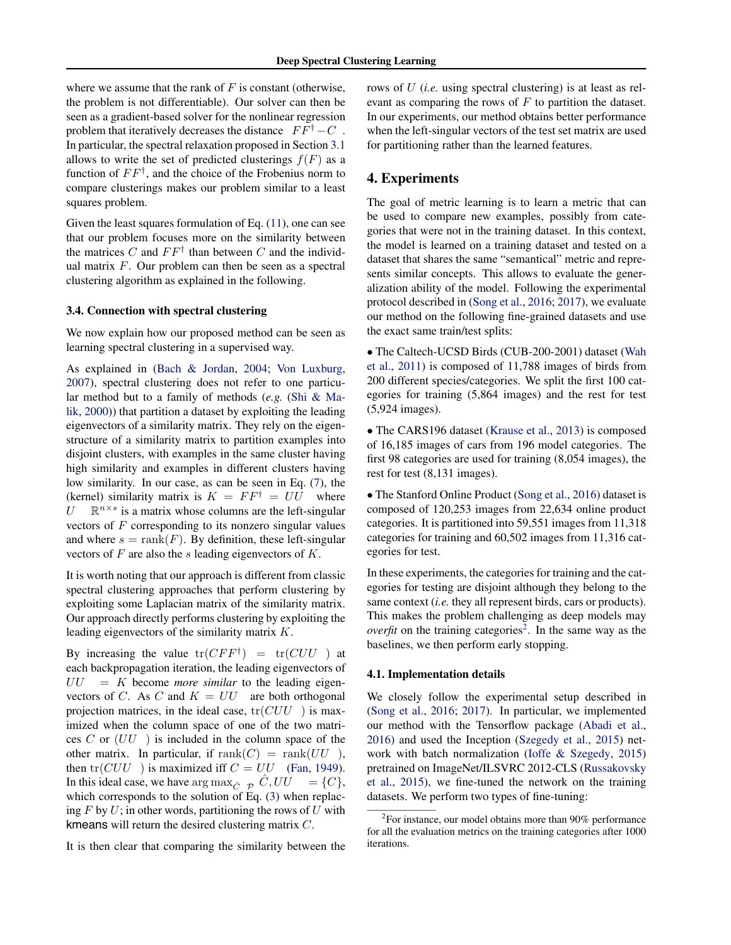where we assume that the rank of *F* is constant (otherwise, the problem is not differentiable). Our solver can then be seen as a gradient-based solver for the nonlinear regression problem that iteratively decreases the distance  $FF^{\dagger}-C$ . In particular, the spectral relaxation proposed in Section 3.1 allows to write the set of predicted clusterings  $f(F)$  as a function of *FF†* , and the choice of the Frobenius norm to compare clusterings makes our problem similar to a least squares problem.

Given the least squares formulation of Eq. (11), one can see that our problem focuses more on the similarity between the matrices C and  $FF^{\dagger}$  than between C and the individual matrix *F*. Our problem can then be seen as a spectral clustering algorithm as explained in the following.

#### 3.4. Connection with spectral clustering

We now explain how our proposed method can be seen as learning spectral clustering in a supervised way.

As explained in (Bach & Jordan, 2004; Von Luxburg, 2007), spectral clustering does not refer to one particular method but to a family of methods (*e.g.* (Shi & Malik, 2000)) that partition a dataset by exploiting the leading eigenvectors of a similarity matrix. They rely on the eigenstructure of a similarity matrix to partition examples into disjoint clusters, with examples in the same cluster having high similarity and examples in different clusters having low similarity. In our case, as can be seen in Eq. (7), the (kernel) similarity matrix is  $K = FF^{\dagger} = UU$  where  $U \mathbb{R}^{n \times s}$  is a matrix whose columns are the left-singular vectors of *F* corresponding to its nonzero singular values and where  $s = \text{rank}(F)$ . By definition, these left-singular vectors of *F* are also the *s* leading eigenvectors of *K*.

It is worth noting that our approach is different from classic spectral clustering approaches that perform clustering by exploiting some Laplacian matrix of the similarity matrix. Our approach directly performs clustering by exploiting the leading eigenvectors of the similarity matrix *K*.

By increasing the value  $tr(CFF^{\dagger}) = tr(CUU)$  at each backpropagation iteration, the leading eigenvectors of  $UU = K$  become *more similar* to the leading eigenvectors of *C*. As *C* and  $K = UU$  are both orthogonal projection matrices, in the ideal case, tr(*CUU* ) is maximized when the column space of one of the two matrices *C* or (*UU* ) is included in the column space of the other matrix. In particular, if  $\text{rank}(C) = \text{rank}(UU)$ , then  $tr(CUU)$  is maximized iff  $C = UU$  (Fan, 1949). In this ideal case, we have  $\arg \max_{\hat{C}} \mathcal{P}(\hat{C},UU) = \{C\},\$ which corresponds to the solution of Eq. (3) when replacing *F* by *U*; in other words, partitioning the rows of *U* with kmeans will return the desired clustering matrix *C*.

It is then clear that comparing the similarity between the

rows of *U* (*i.e.* using spectral clustering) is at least as relevant as comparing the rows of *F* to partition the dataset. In our experiments, our method obtains better performance when the left-singular vectors of the test set matrix are used for partitioning rather than the learned features.

### 4. Experiments

The goal of metric learning is to learn a metric that can be used to compare new examples, possibly from categories that were not in the training dataset. In this context, the model is learned on a training dataset and tested on a dataset that shares the same "semantical" metric and represents similar concepts. This allows to evaluate the generalization ability of the model. Following the experimental protocol described in (Song et al., 2016; 2017), we evaluate our method on the following fine-grained datasets and use the exact same train/test splits:

*•* The Caltech-UCSD Birds (CUB-200-2001) dataset (Wah et al., 2011) is composed of 11,788 images of birds from 200 different species/categories. We split the first 100 categories for training (5,864 images) and the rest for test (5,924 images).

• The CARS196 dataset (Krause et al., 2013) is composed of 16,185 images of cars from 196 model categories. The first 98 categories are used for training (8,054 images), the rest for test (8,131 images).

• The Stanford Online Product (Song et al., 2016) dataset is composed of 120,253 images from 22,634 online product categories. It is partitioned into 59,551 images from 11,318 categories for training and 60,502 images from 11,316 categories for test.

In these experiments, the categories for training and the categories for testing are disjoint although they belong to the same context (*i.e.* they all represent birds, cars or products). This makes the problem challenging as deep models may *overfit* on the training categories<sup>2</sup>. In the same way as the baselines, we then perform early stopping.

### 4.1. Implementation details

We closely follow the experimental setup described in (Song et al., 2016; 2017). In particular, we implemented our method with the Tensorflow package (Abadi et al., 2016) and used the Inception (Szegedy et al., 2015) network with batch normalization (Ioffe & Szegedy, 2015) pretrained on ImageNet/ILSVRC 2012-CLS (Russakovsky et al., 2015), we fine-tuned the network on the training datasets. We perform two types of fine-tuning:

 $2$ For instance, our model obtains more than 90% performance for all the evaluation metrics on the training categories after 1000 iterations.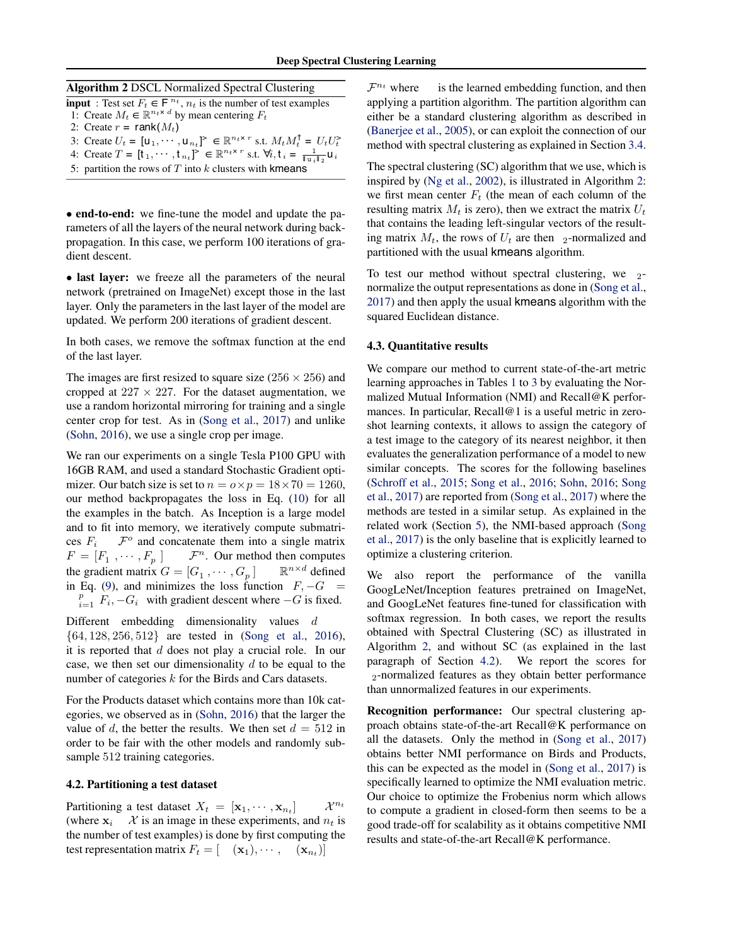| <b>Algorithm 2 DSCL Normalized Spectral Clustering</b>                           |
|----------------------------------------------------------------------------------|
| <b>input</b> : Test set $F_t \in F^{n_t}$ , $n_t$ is the number of test examples |

1: Create  $M_t \in \mathbb{R}^{n_t \times d}$  by mean centering  $F_t$ 

2: Create  $r = \text{rank}(M_t)$ 

- 3: Create  $U_t = [\mathbf{u}_1, \cdots, \mathbf{u}_{n_t}]^{\geq} \in \mathbb{R}^{n_t \times r}$  s.t.  $M_t M_t^{\dagger} = U_t U_t^{\geq}$ <br>4: Create  $T = [\mathbf{t}_1, \cdots, \mathbf{t}_{n_t}]^{\geq} \in \mathbb{R}^{n_t \times r}$  s.t.  $\forall i, \mathbf{t}_i = \frac{1}{\|\mathbf{u}_i\|_2} \mathbf{u}_i$
- 
- 5: partition the rows of  $T$  into  $k$  clusters with kmeans

• end-to-end: we fine-tune the model and update the parameters of all the layers of the neural network during backpropagation. In this case, we perform 100 iterations of gradient descent.

*•* last layer: we freeze all the parameters of the neural network (pretrained on ImageNet) except those in the last layer. Only the parameters in the last layer of the model are updated. We perform 200 iterations of gradient descent.

In both cases, we remove the softmax function at the end of the last layer.

The images are first resized to square size ( $256 \times 256$ ) and cropped at  $227 \times 227$ . For the dataset augmentation, we use a random horizontal mirroring for training and a single center crop for test. As in (Song et al., 2017) and unlike (Sohn, 2016), we use a single crop per image.

We ran our experiments on a single Tesla P100 GPU with 16GB RAM, and used a standard Stochastic Gradient optimizer. Our batch size is set to  $n = o \times p = 18 \times 70 = 1260$ , our method backpropagates the loss in Eq. (10) for all the examples in the batch. As Inception is a large model and to fit into memory, we iteratively compute submatrices  $F_i$   $\mathcal{F}^o$  and concatenate them into a single matrix  $F = [F_1, \dots, F_p]$   $\mathcal{F}^n$ . Our method then computes *F*<sup>*n*</sup>. Our method then computes<br>=  $[G_1, \cdots, G_n]$   $\mathbb{R}^{n \times d}$  defined the gradient matrix  $G = [G_1, \dots, G_n]$ in Eq. (9), and minimizes the loss function  $F, -G =$  $p \choose i=1$  *F*<sub>*i*</sub>, −*G*<sub>*i*</sub> with gradient descent where −*G* is fixed.

Different embedding dimensionality values *d {*64*,* 128*,* 256*,* 512*}* are tested in (Song et al., 2016), it is reported that *d* does not play a crucial role. In our case, we then set our dimensionality *d* to be equal to the number of categories *k* for the Birds and Cars datasets.

For the Products dataset which contains more than 10k categories, we observed as in (Sohn, 2016) that the larger the value of *d*, the better the results. We then set  $d = 512$  in order to be fair with the other models and randomly subsample 512 training categories.

#### 4.2. Partitioning a test dataset

Partitioning a test dataset  $X_t = [\mathbf{x}_1, \cdots, \mathbf{x}_{n_t}]$   $\mathcal{X}^{n_t}$ (where  $x_i$   $\mathcal{X}$  is an image in these experiments, and  $n_t$  is the number of test examples) is done by first computing the test representation matrix  $F_t = [$   $(\mathbf{x}_1), \cdots,$   $(\mathbf{x}_{n_t})]$ 

 $\mathcal{F}^{n_t}$  where is the learned embedding function, and then applying a partition algorithm. The partition algorithm can either be a standard clustering algorithm as described in (Banerjee et al., 2005), or can exploit the connection of our method with spectral clustering as explained in Section 3.4.

The spectral clustering (SC) algorithm that we use, which is inspired by (Ng et al., 2002), is illustrated in Algorithm 2: we first mean center  $F_t$  (the mean of each column of the resulting matrix  $M_t$  is zero), then we extract the matrix  $U_t$ that contains the leading left-singular vectors of the resulting matrix  $M_t$ , the rows of  $U_t$  are then 2-normalized and partitioned with the usual kmeans algorithm.

To test our method without spectral clustering, we  $2$ normalize the output representations as done in (Song et al., 2017) and then apply the usual kmeans algorithm with the squared Euclidean distance.

### 4.3. Quantitative results

We compare our method to current state-of-the-art metric learning approaches in Tables 1 to 3 by evaluating the Normalized Mutual Information (NMI) and Recall@K performances. In particular, Recall@1 is a useful metric in zeroshot learning contexts, it allows to assign the category of a test image to the category of its nearest neighbor, it then evaluates the generalization performance of a model to new similar concepts. The scores for the following baselines (Schroff et al., 2015; Song et al., 2016; Sohn, 2016; Song et al., 2017) are reported from (Song et al., 2017) where the methods are tested in a similar setup. As explained in the related work (Section 5), the NMI-based approach (Song et al., 2017) is the only baseline that is explicitly learned to optimize a clustering criterion.

We also report the performance of the vanilla GoogLeNet/Inception features pretrained on ImageNet, and GoogLeNet features fine-tuned for classification with softmax regression. In both cases, we report the results obtained with Spectral Clustering (SC) as illustrated in Algorithm 2, and without SC (as explained in the last paragraph of Section 4.2). We report the scores for <sup>2</sup>-normalized features as they obtain better performance than unnormalized features in our experiments.

Recognition performance: Our spectral clustering approach obtains state-of-the-art Recall@K performance on all the datasets. Only the method in (Song et al., 2017) obtains better NMI performance on Birds and Products, this can be expected as the model in (Song et al., 2017) is specifically learned to optimize the NMI evaluation metric. Our choice to optimize the Frobenius norm which allows to compute a gradient in closed-form then seems to be a good trade-off for scalability as it obtains competitive NMI results and state-of-the-art Recall@K performance.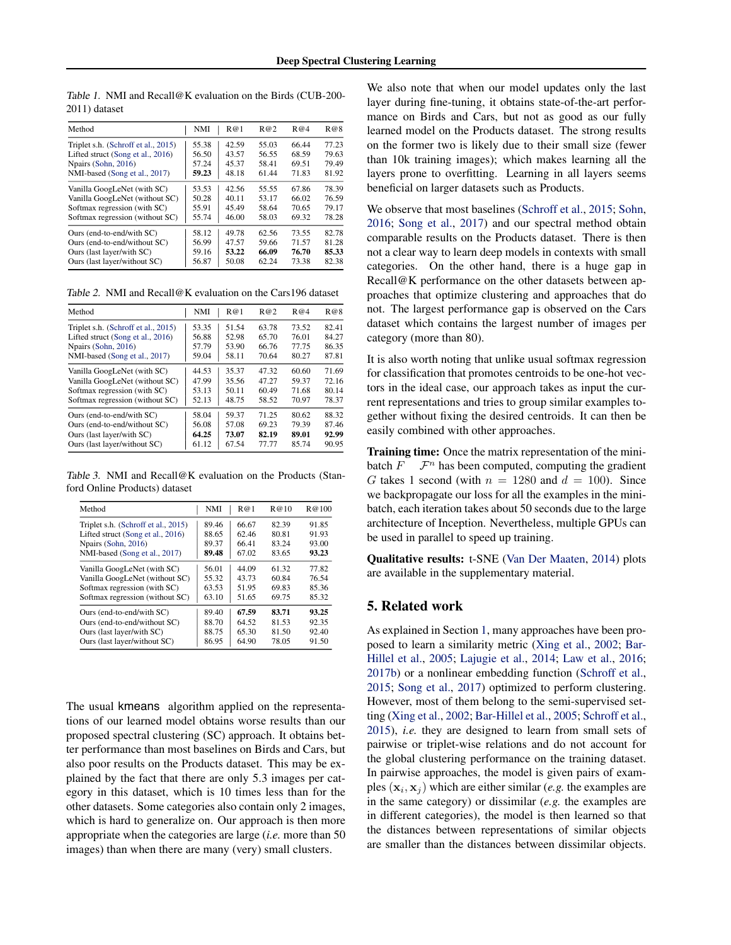| Method                              | <b>NMI</b> | R@1   | R@2   | R@4   | R@8   |
|-------------------------------------|------------|-------|-------|-------|-------|
| Triplet s.h. (Schroff et al., 2015) | 55.38      | 42.59 | 55.03 | 66.44 | 77.23 |
| Lifted struct (Song et al., 2016)   | 56.50      | 43.57 | 56.55 | 68.59 | 79.63 |
| Npairs (Sohn, 2016)                 | 57.24      | 45.37 | 58.41 | 69.51 | 79.49 |
| NMI-based (Song et al., 2017)       | 59.23      | 48.18 | 61.44 | 71.83 | 81.92 |
| Vanilla GoogLeNet (with SC)         | 53.53      | 42.56 | 55.55 | 67.86 | 78.39 |
| Vanilla GoogLeNet (without SC)      | 50.28      | 40.11 | 53.17 | 66.02 | 76.59 |
| Softmax regression (with SC)        | 55.91      | 45.49 | 58.64 | 70.65 | 79.17 |
| Softmax regression (without SC)     | 55.74      | 46.00 | 58.03 | 69.32 | 78.28 |
| Ours (end-to-end/with SC)           | 58.12      | 49.78 | 62.56 | 73.55 | 82.78 |
| Ours (end-to-end/without SC)        | 56.99      | 47.57 | 59.66 | 71.57 | 81.28 |
| Ours (last layer/with SC)           | 59.16      | 53.22 | 66.09 | 76.70 | 85.33 |
| Ours (last layer/without SC)        | 56.87      | 50.08 | 62.24 | 73.38 | 82.38 |

*Table 1.* NMI and Recall@K evaluation on the Birds (CUB-200- 2011) dataset

*Table 2.* NMI and Recall@K evaluation on the Cars196 dataset

| Method                              | NMI   | R@1   | R@2   | R@4   | R@8   |
|-------------------------------------|-------|-------|-------|-------|-------|
| Triplet s.h. (Schroff et al., 2015) | 53.35 | 51.54 | 63.78 | 73.52 | 82.41 |
| Lifted struct (Song et al., 2016)   | 56.88 | 52.98 | 65.70 | 76.01 | 84.27 |
| Npairs (Sohn, 2016)                 | 57.79 | 53.90 | 66.76 | 77.75 | 86.35 |
| NMI-based (Song et al., 2017)       | 59.04 | 58.11 | 70.64 | 80.27 | 87.81 |
| Vanilla GoogLeNet (with SC)         | 44.53 | 35.37 | 47.32 | 60.60 | 71.69 |
| Vanilla GoogLeNet (without SC)      | 47.99 | 35.56 | 47.27 | 59.37 | 72.16 |
| Softmax regression (with SC)        | 53.13 | 50.11 | 60.49 | 71.68 | 80.14 |
| Softmax regression (without SC)     | 52.13 | 48.75 | 58.52 | 70.97 | 78.37 |
| Ours (end-to-end/with SC)           | 58.04 | 59.37 | 71.25 | 80.62 | 88.32 |
| Ours (end-to-end/without SC)        | 56.08 | 57.08 | 69.23 | 79.39 | 87.46 |
| Ours (last layer/with SC)           | 64.25 | 73.07 | 82.19 | 89.01 | 92.99 |
| Ours (last layer/without SC)        | 61.12 | 67.54 | 77.77 | 85.74 | 90.95 |

*Table 3.* NMI and Recall@K evaluation on the Products (Stanford Online Products) dataset

| Method                              | <b>NMI</b> | R@1   | R@10  | R@100 |
|-------------------------------------|------------|-------|-------|-------|
| Triplet s.h. (Schroff et al., 2015) | 89.46      | 66.67 | 82.39 | 91.85 |
| Lifted struct (Song et al., 2016)   | 88.65      | 62.46 | 80.81 | 91.93 |
| Npairs (Sohn, 2016)                 | 89.37      | 66.41 | 83.24 | 93.00 |
| NMI-based (Song et al., 2017)       | 89.48      | 67.02 | 83.65 | 93.23 |
| Vanilla GoogLeNet (with SC)         | 56.01      | 44.09 | 61.32 | 77.82 |
| Vanilla GoogLeNet (without SC)      | 55.32      | 43.73 | 60.84 | 76.54 |
| Softmax regression (with SC)        | 63.53      | 51.95 | 69.83 | 85.36 |
| Softmax regression (without SC)     | 63.10      | 51.65 | 69.75 | 85.32 |
| Ours (end-to-end/with SC)           | 89.40      | 67.59 | 83.71 | 93.25 |
| Ours (end-to-end/without SC)        | 88.70      | 64.52 | 81.53 | 92.35 |
| Ours (last layer/with SC)           | 88.75      | 65.30 | 81.50 | 92.40 |
| Ours (last layer/without SC)        | 86.95      | 64.90 | 78.05 | 91.50 |

The usual kmeans algorithm applied on the representations of our learned model obtains worse results than our proposed spectral clustering (SC) approach. It obtains better performance than most baselines on Birds and Cars, but also poor results on the Products dataset. This may be explained by the fact that there are only 5.3 images per category in this dataset, which is 10 times less than for the other datasets. Some categories also contain only 2 images, which is hard to generalize on. Our approach is then more appropriate when the categories are large (*i.e.* more than 50 images) than when there are many (very) small clusters.

We also note that when our model updates only the last layer during fine-tuning, it obtains state-of-the-art performance on Birds and Cars, but not as good as our fully learned model on the Products dataset. The strong results on the former two is likely due to their small size (fewer than 10k training images); which makes learning all the layers prone to overfitting. Learning in all layers seems beneficial on larger datasets such as Products.

We observe that most baselines (Schroff et al., 2015; Sohn, 2016; Song et al., 2017) and our spectral method obtain comparable results on the Products dataset. There is then not a clear way to learn deep models in contexts with small categories. On the other hand, there is a huge gap in Recall@K performance on the other datasets between approaches that optimize clustering and approaches that do not. The largest performance gap is observed on the Cars dataset which contains the largest number of images per category (more than 80).

It is also worth noting that unlike usual softmax regression for classification that promotes centroids to be one-hot vectors in the ideal case, our approach takes as input the current representations and tries to group similar examples together without fixing the desired centroids. It can then be easily combined with other approaches.

Training time: Once the matrix representation of the minibatch  $F$   $\mathcal{F}^n$  has been computed, computing the gradient *G* takes 1 second (with  $n = 1280$  and  $d = 100$ ). Since we backpropagate our loss for all the examples in the minibatch, each iteration takes about 50 seconds due to the large architecture of Inception. Nevertheless, multiple GPUs can be used in parallel to speed up training.

Qualitative results: t-SNE (Van Der Maaten, 2014) plots are available in the supplementary material.

# 5. Related work

As explained in Section 1, many approaches have been proposed to learn a similarity metric (Xing et al., 2002; Bar-Hillel et al., 2005; Lajugie et al., 2014; Law et al., 2016; 2017b) or a nonlinear embedding function (Schroff et al., 2015; Song et al., 2017) optimized to perform clustering. However, most of them belong to the semi-supervised setting (Xing et al., 2002; Bar-Hillel et al., 2005; Schroff et al., 2015), *i.e.* they are designed to learn from small sets of pairwise or triplet-wise relations and do not account for the global clustering performance on the training dataset. In pairwise approaches, the model is given pairs of examples  $(\mathbf{x}_i, \mathbf{x}_j)$  which are either similar (*e.g.* the examples are in the same category) or dissimilar (*e.g.* the examples are in different categories), the model is then learned so that the distances between representations of similar objects are smaller than the distances between dissimilar objects.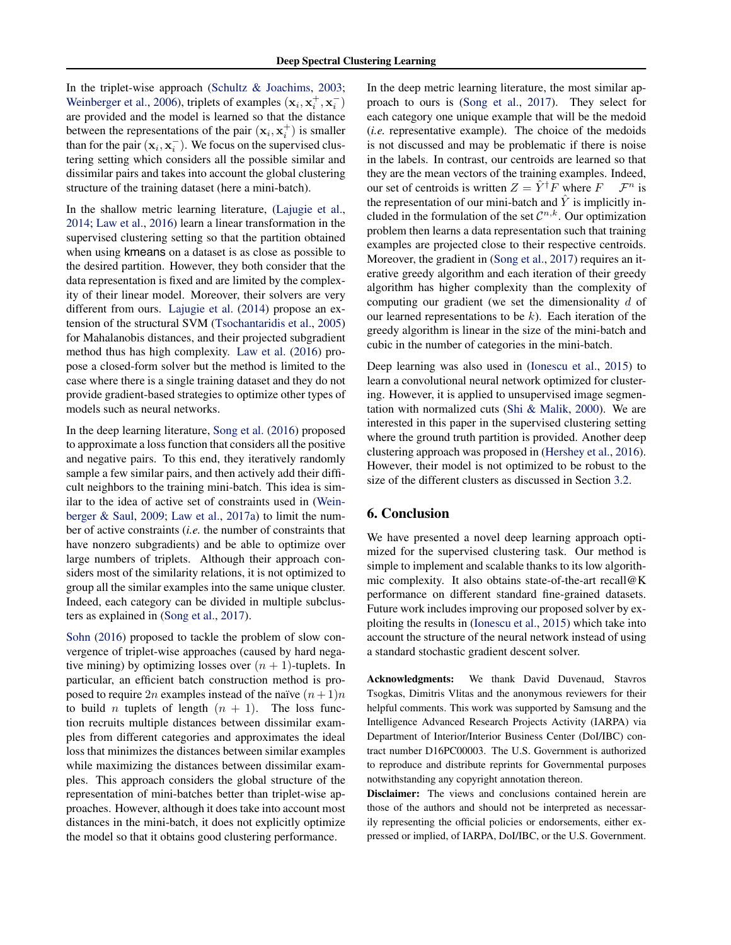In the triplet-wise approach (Schultz & Joachims, 2003; Weinberger et al., 2006), triplets of examples  $(\mathbf{x}_i, \mathbf{x}_i^+, \mathbf{x}_i^-)$ are provided and the model is learned so that the distance between the representations of the pair  $(\mathbf{x}_i, \mathbf{x}_i^+)$  is smaller than for the pair  $(\mathbf{x}_i, \mathbf{x}_i^-)$ . We focus on the supervised clustering setting which considers all the possible similar and dissimilar pairs and takes into account the global clustering structure of the training dataset (here a mini-batch).

In the shallow metric learning literature, (Lajugie et al., 2014; Law et al., 2016) learn a linear transformation in the supervised clustering setting so that the partition obtained when using kmeans on a dataset is as close as possible to the desired partition. However, they both consider that the data representation is fixed and are limited by the complexity of their linear model. Moreover, their solvers are very different from ours. Lajugie et al. (2014) propose an extension of the structural SVM (Tsochantaridis et al., 2005) for Mahalanobis distances, and their projected subgradient method thus has high complexity. Law et al. (2016) propose a closed-form solver but the method is limited to the case where there is a single training dataset and they do not provide gradient-based strategies to optimize other types of models such as neural networks.

In the deep learning literature, Song et al. (2016) proposed to approximate a loss function that considers all the positive and negative pairs. To this end, they iteratively randomly sample a few similar pairs, and then actively add their difficult neighbors to the training mini-batch. This idea is similar to the idea of active set of constraints used in (Weinberger & Saul, 2009; Law et al., 2017a) to limit the number of active constraints (*i.e.* the number of constraints that have nonzero subgradients) and be able to optimize over large numbers of triplets. Although their approach considers most of the similarity relations, it is not optimized to group all the similar examples into the same unique cluster. Indeed, each category can be divided in multiple subclusters as explained in (Song et al., 2017).

Sohn (2016) proposed to tackle the problem of slow convergence of triplet-wise approaches (caused by hard negative mining) by optimizing losses over  $(n + 1)$ -tuplets. In particular, an efficient batch construction method is proposed to require 2*n* examples instead of the naïve  $(n+1)n$ to build *n* tuplets of length  $(n + 1)$ . The loss function recruits multiple distances between dissimilar examples from different categories and approximates the ideal loss that minimizes the distances between similar examples while maximizing the distances between dissimilar examples. This approach considers the global structure of the representation of mini-batches better than triplet-wise approaches. However, although it does take into account most distances in the mini-batch, it does not explicitly optimize the model so that it obtains good clustering performance.

In the deep metric learning literature, the most similar approach to ours is (Song et al., 2017). They select for each category one unique example that will be the medoid (*i.e.* representative example). The choice of the medoids is not discussed and may be problematic if there is noise in the labels. In contrast, our centroids are learned so that they are the mean vectors of the training examples. Indeed, our set of centroids is written  $Z = \hat{Y}^{\dagger}F$  where  $F \mathcal{F}^n$  is the representation of our mini-batch and  $\hat{Y}$  is implicitly included in the formulation of the set  $\mathcal{C}^{n,k}$ . Our optimization problem then learns a data representation such that training examples are projected close to their respective centroids. Moreover, the gradient in (Song et al., 2017) requires an iterative greedy algorithm and each iteration of their greedy algorithm has higher complexity than the complexity of computing our gradient (we set the dimensionality *d* of our learned representations to be *k*). Each iteration of the greedy algorithm is linear in the size of the mini-batch and cubic in the number of categories in the mini-batch.

Deep learning was also used in (Ionescu et al., 2015) to learn a convolutional neural network optimized for clustering. However, it is applied to unsupervised image segmentation with normalized cuts (Shi & Malik, 2000). We are interested in this paper in the supervised clustering setting where the ground truth partition is provided. Another deep clustering approach was proposed in (Hershey et al., 2016). However, their model is not optimized to be robust to the size of the different clusters as discussed in Section 3.2.

# 6. Conclusion

We have presented a novel deep learning approach optimized for the supervised clustering task. Our method is simple to implement and scalable thanks to its low algorithmic complexity. It also obtains state-of-the-art recall@K performance on different standard fine-grained datasets. Future work includes improving our proposed solver by exploiting the results in (Ionescu et al., 2015) which take into account the structure of the neural network instead of using a standard stochastic gradient descent solver.

Acknowledgments: We thank David Duvenaud, Stavros Tsogkas, Dimitris Vlitas and the anonymous reviewers for their helpful comments. This work was supported by Samsung and the Intelligence Advanced Research Projects Activity (IARPA) via Department of Interior/Interior Business Center (DoI/IBC) contract number D16PC00003. The U.S. Government is authorized to reproduce and distribute reprints for Governmental purposes notwithstanding any copyright annotation thereon.

Disclaimer: The views and conclusions contained herein are those of the authors and should not be interpreted as necessarily representing the official policies or endorsements, either expressed or implied, of IARPA, DoI/IBC, or the U.S. Government.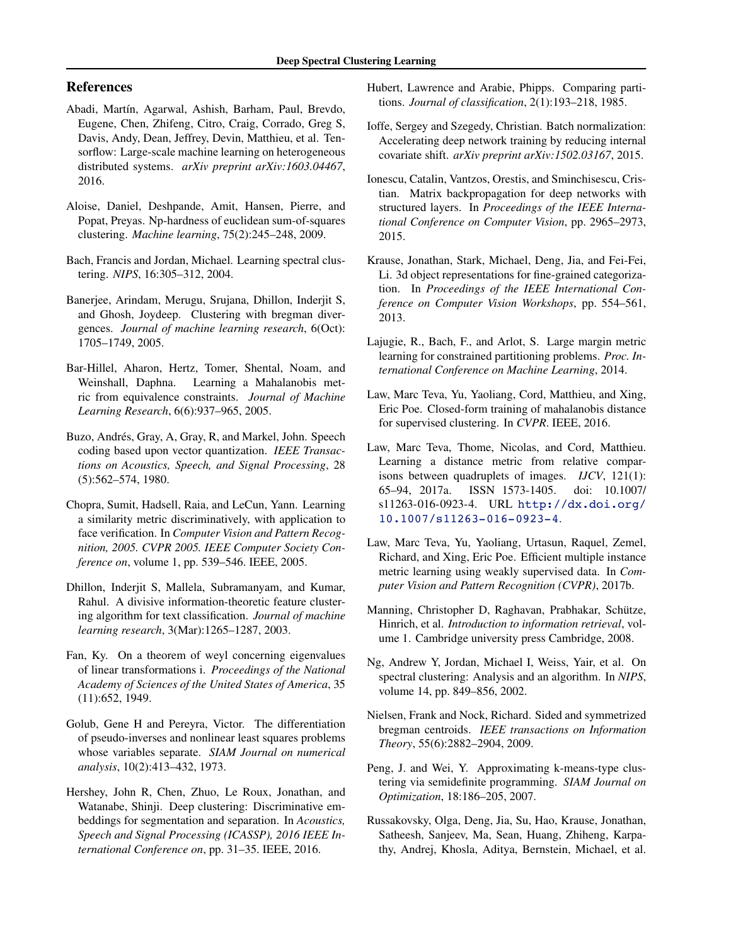# References

- Abadi, Martín, Agarwal, Ashish, Barham, Paul, Brevdo, Eugene, Chen, Zhifeng, Citro, Craig, Corrado, Greg S, Davis, Andy, Dean, Jeffrey, Devin, Matthieu, et al. Tensorflow: Large-scale machine learning on heterogeneous distributed systems. *arXiv preprint arXiv:1603.04467*, 2016.
- Aloise, Daniel, Deshpande, Amit, Hansen, Pierre, and Popat, Preyas. Np-hardness of euclidean sum-of-squares clustering. *Machine learning*, 75(2):245–248, 2009.
- Bach, Francis and Jordan, Michael. Learning spectral clustering. *NIPS*, 16:305–312, 2004.
- Banerjee, Arindam, Merugu, Srujana, Dhillon, Inderjit S, and Ghosh, Joydeep. Clustering with bregman divergences. *Journal of machine learning research*, 6(Oct): 1705–1749, 2005.
- Bar-Hillel, Aharon, Hertz, Tomer, Shental, Noam, and Weinshall, Daphna. Learning a Mahalanobis metric from equivalence constraints. *Journal of Machine Learning Research*, 6(6):937–965, 2005.
- Buzo, Andrés, Gray, A, Gray, R, and Markel, John. Speech coding based upon vector quantization. *IEEE Transactions on Acoustics, Speech, and Signal Processing*, 28 (5):562–574, 1980.
- Chopra, Sumit, Hadsell, Raia, and LeCun, Yann. Learning a similarity metric discriminatively, with application to face verification. In *Computer Vision and Pattern Recognition, 2005. CVPR 2005. IEEE Computer Society Conference on*, volume 1, pp. 539–546. IEEE, 2005.
- Dhillon, Inderjit S, Mallela, Subramanyam, and Kumar, Rahul. A divisive information-theoretic feature clustering algorithm for text classification. *Journal of machine learning research*, 3(Mar):1265–1287, 2003.
- Fan, Ky. On a theorem of weyl concerning eigenvalues of linear transformations i. *Proceedings of the National Academy of Sciences of the United States of America*, 35 (11):652, 1949.
- Golub, Gene H and Pereyra, Victor. The differentiation of pseudo-inverses and nonlinear least squares problems whose variables separate. *SIAM Journal on numerical analysis*, 10(2):413–432, 1973.
- Hershey, John R, Chen, Zhuo, Le Roux, Jonathan, and Watanabe, Shinji. Deep clustering: Discriminative embeddings for segmentation and separation. In *Acoustics, Speech and Signal Processing (ICASSP), 2016 IEEE International Conference on*, pp. 31–35. IEEE, 2016.
- Hubert, Lawrence and Arabie, Phipps. Comparing partitions. *Journal of classification*, 2(1):193–218, 1985.
- Ioffe, Sergey and Szegedy, Christian. Batch normalization: Accelerating deep network training by reducing internal covariate shift. *arXiv preprint arXiv:1502.03167*, 2015.
- Ionescu, Catalin, Vantzos, Orestis, and Sminchisescu, Cristian. Matrix backpropagation for deep networks with structured layers. In *Proceedings of the IEEE International Conference on Computer Vision*, pp. 2965–2973, 2015.
- Krause, Jonathan, Stark, Michael, Deng, Jia, and Fei-Fei, Li. 3d object representations for fine-grained categorization. In *Proceedings of the IEEE International Conference on Computer Vision Workshops*, pp. 554–561, 2013.
- Lajugie, R., Bach, F., and Arlot, S. Large margin metric learning for constrained partitioning problems. *Proc. International Conference on Machine Learning*, 2014.
- Law, Marc Teva, Yu, Yaoliang, Cord, Matthieu, and Xing, Eric Poe. Closed-form training of mahalanobis distance for supervised clustering. In *CVPR*. IEEE, 2016.
- Law, Marc Teva, Thome, Nicolas, and Cord, Matthieu. Learning a distance metric from relative comparisons between quadruplets of images. *IJCV*, 121(1): 65–94, 2017a. ISSN 1573-1405. doi: 10.1007/ s11263-016-0923-4. URL http://dx.doi.org/ 10.1007/s11263-016-0923-4.
- Law, Marc Teva, Yu, Yaoliang, Urtasun, Raquel, Zemel, Richard, and Xing, Eric Poe. Efficient multiple instance metric learning using weakly supervised data. In *Computer Vision and Pattern Recognition (CVPR)*, 2017b.
- Manning, Christopher D, Raghavan, Prabhakar, Schütze, Hinrich, et al. *Introduction to information retrieval*, volume 1. Cambridge university press Cambridge, 2008.
- Ng, Andrew Y, Jordan, Michael I, Weiss, Yair, et al. On spectral clustering: Analysis and an algorithm. In *NIPS*, volume 14, pp. 849–856, 2002.
- Nielsen, Frank and Nock, Richard. Sided and symmetrized bregman centroids. *IEEE transactions on Information Theory*, 55(6):2882–2904, 2009.
- Peng, J. and Wei, Y. Approximating k-means-type clustering via semidefinite programming. *SIAM Journal on Optimization*, 18:186–205, 2007.
- Russakovsky, Olga, Deng, Jia, Su, Hao, Krause, Jonathan, Satheesh, Sanjeev, Ma, Sean, Huang, Zhiheng, Karpathy, Andrej, Khosla, Aditya, Bernstein, Michael, et al.